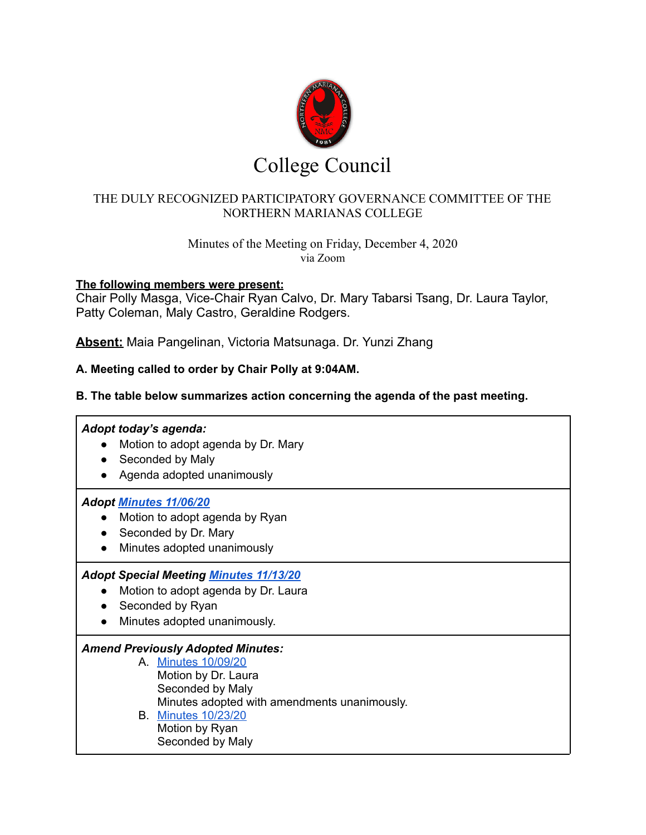

# THE DULY RECOGNIZED PARTICIPATORY GOVERNANCE COMMITTEE OF THE NORTHERN MARIANAS COLLEGE

Minutes of the Meeting on Friday, December 4, 2020 via Zoom

## **The following members were present:**

Chair Polly Masga, Vice-Chair Ryan Calvo, Dr. Mary Tabarsi Tsang, Dr. Laura Taylor, Patty Coleman, Maly Castro, Geraldine Rodgers.

**Absent:** Maia Pangelinan, Victoria Matsunaga. Dr. Yunzi Zhang

# **A. Meeting called to order by Chair Polly at 9:04AM.**

## **B. The table below summarizes action concerning the agenda of the past meeting.**

## *Adopt today's agenda:*

- Motion to adopt agenda by Dr. Mary
- Seconded by Maly
- Agenda adopted unanimously

## *Adopt Minutes [11/06/20](https://docs.google.com/document/d/16_jgcmW3ChXdj_XXFn72x2uWAT3lNAVu8HaVacm42p4/edit)*

- Motion to adopt agenda by Ryan
- Seconded by Dr. Mary
- Minutes adopted unanimously

#### *Adopt Special Meeting Minutes [11/13/20](https://docs.google.com/document/d/1U6pSVIHxclRQ3jPwJ9O5Qg2K8qQXjQ5TtRw_v1E1FOo/edit?usp=sharing)*

- Motion to adopt agenda by Dr. Laura
- Seconded by Ryan
- Minutes adopted unanimously.

#### *Amend Previously Adopted Minutes:*

- A. Minutes [10/09/20](https://docs.google.com/document/d/1qvXtMGUrctlHCJqbmt6z34HJhWkkq4h-OK2lK8X_a5c/edit) Motion by Dr. Laura Seconded by Maly Minutes adopted with amendments unanimously. B. Minutes [10/23/20](https://docs.google.com/document/d/1aH-EcDX9l-P-Um9MNyKc59BC-m_9KrdCq2wDvQxd0Z4/edit)
	- Motion by Ryan Seconded by Maly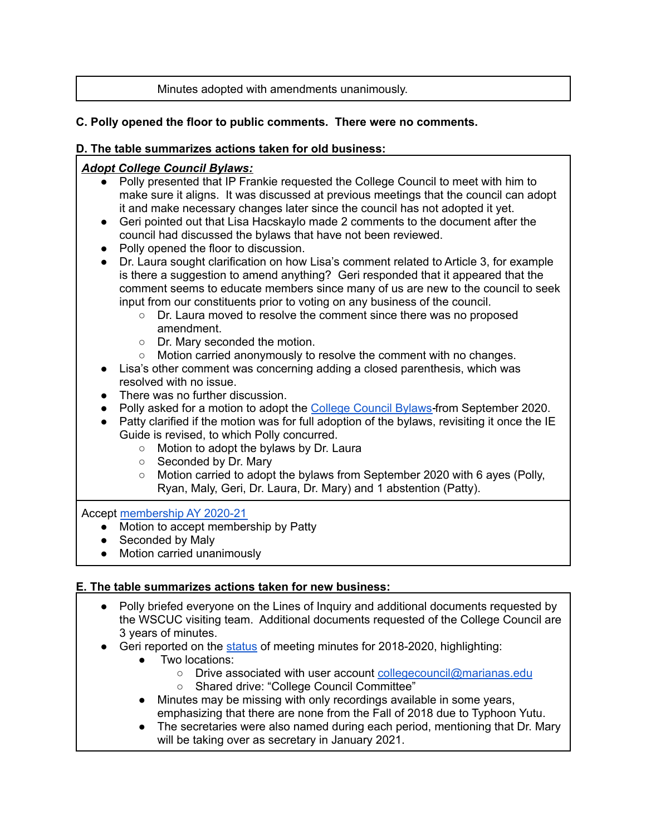# Minutes adopted with amendments unanimously.

## **C. Polly opened the floor to public comments. There were no comments.**

## **D. The table summarizes actions taken for old business:**

## *Adopt College Council Bylaws:*

- Polly presented that IP Frankie requested the College Council to meet with him to make sure it aligns. It was discussed at previous meetings that the council can adopt it and make necessary changes later since the council has not adopted it yet.
- Geri pointed out that Lisa Hacskaylo made 2 comments to the document after the council had discussed the bylaws that have not been reviewed.
- Polly opened the floor to discussion.
- Dr. Laura sought clarification on how Lisa's comment related to Article 3, for example is there a suggestion to amend anything? Geri responded that it appeared that the comment seems to educate members since many of us are new to the council to seek input from our constituents prior to voting on any business of the council.
	- Dr. Laura moved to resolve the comment since there was no proposed amendment.
	- Dr. Mary seconded the motion.
	- Motion carried anonymously to resolve the comment with no changes.
- Lisa's other comment was concerning adding a closed parenthesis, which was resolved with no issue.
- There was no further discussion.
- Polly asked for a motion to adopt the [College](https://docs.google.com/document/d/1bKGR0ocIxrNgaJWHYtoQc7MZlIDWL20OOysow3u1ctU/edit#) Council Bylaws-from September 2020.
- Patty clarified if the motion was for full adoption of the bylaws, revisiting it once the IE Guide is revised, to which Polly concurred.
	- Motion to adopt the bylaws by Dr. Laura
	- Seconded by Dr. Mary
	- $\circ$  Motion carried to adopt the bylaws from September 2020 with 6 ayes (Polly, Ryan, Maly, Geri, Dr. Laura, Dr. Mary) and 1 abstention (Patty).

Accept [membership](https://drive.google.com/file/d/1hLP0z2EW6bAEnRxQSMit31wBIzC5xJnA/view?usp=sharing) AY 2020-21

- Motion to accept membership by Patty
- Seconded by Maly
- Motion carried unanimously

## **E. The table summarizes actions taken for new business:**

- Polly briefed everyone on the Lines of Inquiry and additional documents requested by the WSCUC visiting team. Additional documents requested of the College Council are 3 years of minutes.
- Geri reported on the [status](https://docs.google.com/document/d/11Nmvd31lD0xF2gq4hUM-eHFo4JUTwrkSrgv9cVlrrfo/edit?usp=sharing) of meeting minutes for 2018-2020, highlighting:
	- Two locations:
		- Drive associated with user account [collegecouncil@marianas.edu](mailto:collegecouncil@marianas.edu)
		- Shared drive: "College Council Committee"
	- Minutes may be missing with only recordings available in some years, emphasizing that there are none from the Fall of 2018 due to Typhoon Yutu.
	- The secretaries were also named during each period, mentioning that Dr. Mary will be taking over as secretary in January 2021.